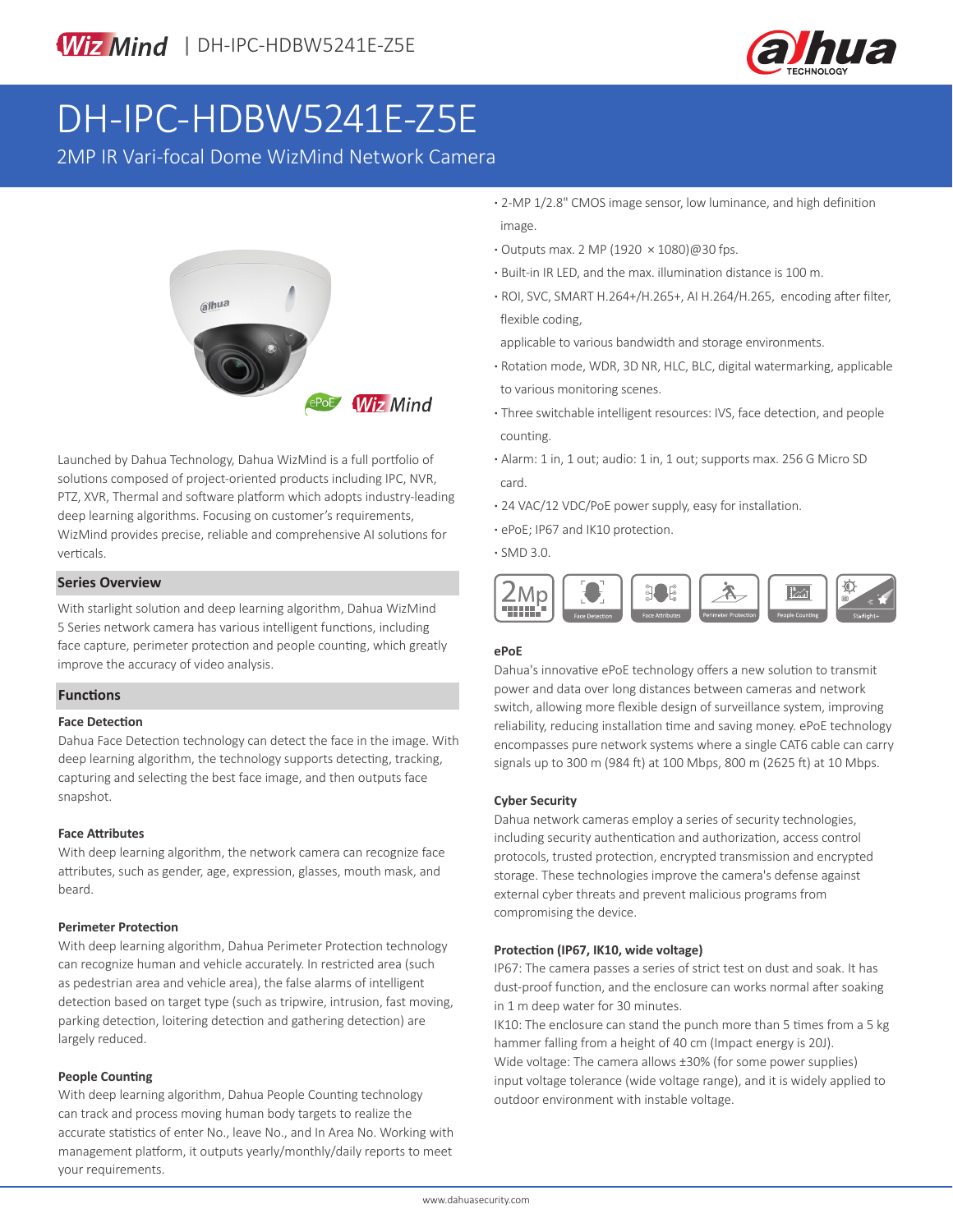

# DH-IPC-HDBW5241E-Z5E

2MP IR Vari-focal Dome WizMind Network Camera



Launched by Dahua Technology, Dahua WizMind is a full portfolio of solutions composed of project-oriented products including IPC, NVR, PTZ, XVR, Thermal and software platform which adopts industry-leading deep learning algorithms. Focusing on customer's requirements, WizMind provides precise, reliable and comprehensive AI solutions for verticals.

# **Series Overview**

With starlight solution and deep learning algorithm, Dahua WizMind 5 Series network camera has various intelligent functions, including face capture, perimeter protection and people counting, which greatly improve the accuracy of video analysis.

# **Functions**

### **Face Detection**

Dahua Face Detection technology can detect the face in the image. With deep learning algorithm, the technology supports detecting, tracking, capturing and selecting the best face image, and then outputs face snapshot.

### **Face Attributes**

With deep learning algorithm, the network camera can recognize face attributes, such as gender, age, expression, glasses, mouth mask, and beard.

#### **Perimeter Protection**

With deep learning algorithm, Dahua Perimeter Protection technology can recognize human and vehicle accurately. In restricted area (such as pedestrian area and vehicle area), the false alarms of intelligent detection based on target type (such as tripwire, intrusion, fast moving, parking detection, loitering detection and gathering detection) are largely reduced.

## **People Counting**

With deep learning algorithm, Dahua People Counting technology can track and process moving human body targets to realize the accurate statistics of enter No., leave No., and In Area No. Working with management platform, it outputs yearly/monthly/daily reports to meet your requirements.

**·** 2-MP 1/2.8" CMOS image sensor, low luminance, and high definition image.

- **·** Outputs max. 2 MP (1920 × 1080)@30 fps.
- **·** Built-in IR LED, and the max. illumination distance is 100 m.
- **·** ROI, SVC, SMART H.264+/H.265+, AI H.264/H.265, encoding after filter, flexible coding,

applicable to various bandwidth and storage environments.

- **·** Rotation mode, WDR, 3D NR, HLC, BLC, digital watermarking, applicable to various monitoring scenes.
- **·** Three switchable intelligent resources: IVS, face detection, and people counting.
- **·** Alarm: 1 in, 1 out; audio: 1 in, 1 out; supports max. 256 G Micro SD card.
- **·** 24 VAC/12 VDC/PoE power supply, easy for installation.
- **·** ePoE; IP67 and IK10 protection.
- **·** SMD 3.0.



# **ePoE**

Dahua's innovative ePoE technology offers a new solution to transmit power and data over long distances between cameras and network switch, allowing more flexible design of surveillance system, improving reliability, reducing installation time and saving money. ePoE technology encompasses pure network systems where a single CAT6 cable can carry signals up to 300 m (984 ft) at 100 Mbps, 800 m (2625 ft) at 10 Mbps.

#### **Cyber Security**

Dahua network cameras employ a series of security technologies, including security authentication and authorization, access control protocols, trusted protection, encrypted transmission and encrypted storage. These technologies improve the camera's defense against external cyber threats and prevent malicious programs from compromising the device.

# **Protection (IP67, IK10, wide voltage)**

IP67: The camera passes a series of strict test on dust and soak. It has dust-proof function, and the enclosure can works normal after soaking in 1 m deep water for 30 minutes.

IK10: The enclosure can stand the punch more than 5 times from a 5 kg hammer falling from a height of 40 cm (Impact energy is 20J). Wide voltage: The camera allows ±30% (for some power supplies) input voltage tolerance (wide voltage range), and it is widely applied to outdoor environment with instable voltage.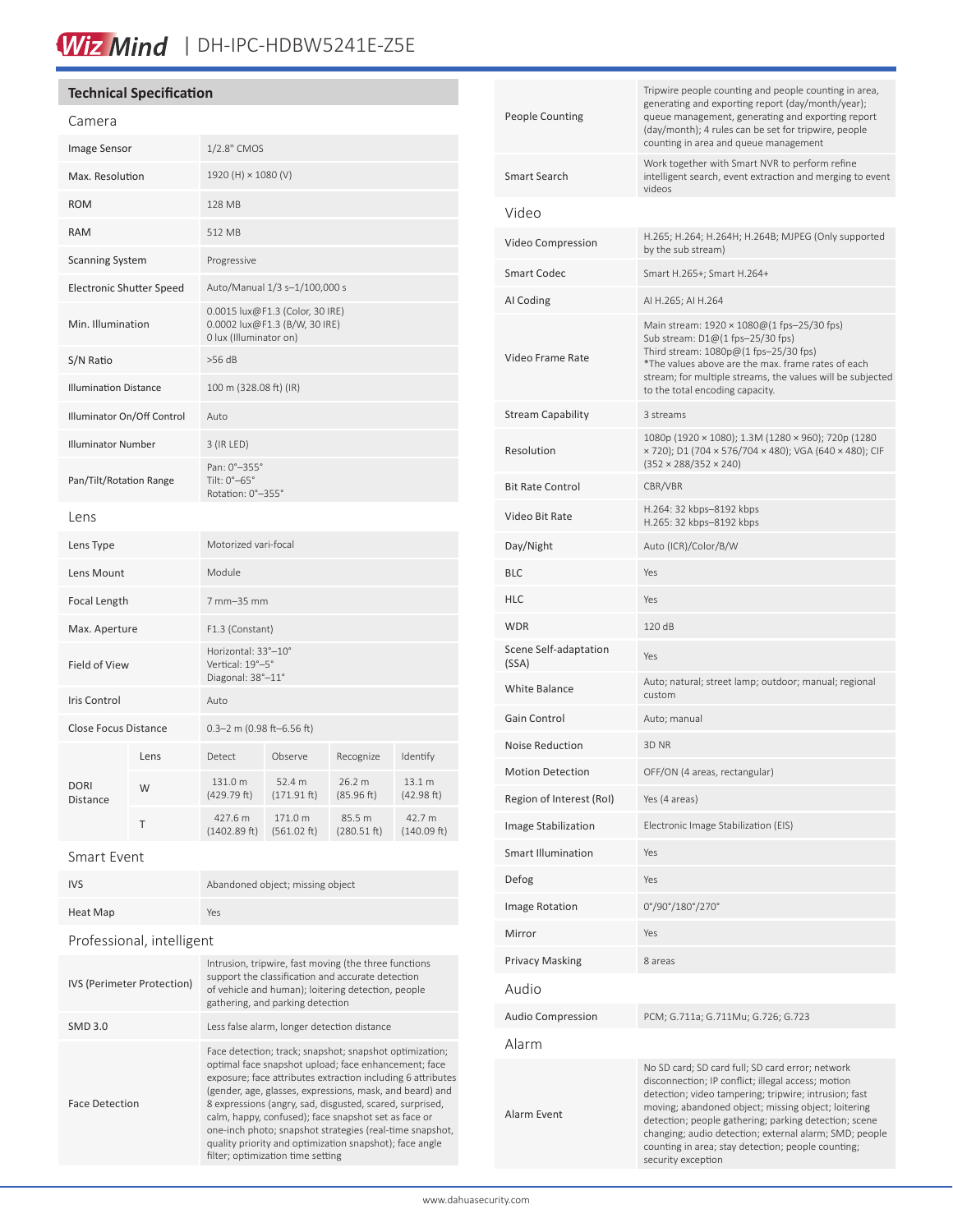# Wiz Mind | DH-IPC-HDBW5241E-Z5E

# **Technical Specification**

| Callicia                        |      |                                                                                            |                        |                       |                       |
|---------------------------------|------|--------------------------------------------------------------------------------------------|------------------------|-----------------------|-----------------------|
| <b>Image Sensor</b>             |      | 1/2.8" CMOS                                                                                |                        |                       |                       |
| Max. Resolution                 |      | 1920 (H) × 1080 (V)                                                                        |                        |                       |                       |
| <b>ROM</b>                      |      | 128 MB                                                                                     |                        |                       |                       |
| <b>RAM</b>                      |      | 512 MB                                                                                     |                        |                       |                       |
| <b>Scanning System</b>          |      | Progressive                                                                                |                        |                       |                       |
| <b>Electronic Shutter Speed</b> |      | Auto/Manual 1/3 s-1/100,000 s                                                              |                        |                       |                       |
| Min. Illumination               |      | 0.0015 lux@F1.3 (Color, 30 IRE)<br>0.0002 lux@F1.3 (B/W, 30 IRE)<br>0 lux (Illuminator on) |                        |                       |                       |
| S/N Ratio                       |      | $>56$ dB                                                                                   |                        |                       |                       |
| <b>Illumination Distance</b>    |      | 100 m (328.08 ft) (IR)                                                                     |                        |                       |                       |
| Illuminator On/Off Control      |      | Auto                                                                                       |                        |                       |                       |
| <b>Illuminator Number</b>       |      | 3 (IR LED)                                                                                 |                        |                       |                       |
| Pan/Tilt/Rotation Range         |      | Pan: 0°-355°<br>Tilt: 0°-65°<br>Rotation: 0°-355°                                          |                        |                       |                       |
| Lens                            |      |                                                                                            |                        |                       |                       |
| Lens Type                       |      | Motorized vari-focal                                                                       |                        |                       |                       |
| Lens Mount                      |      | Module                                                                                     |                        |                       |                       |
| Focal Length                    |      | 7 mm-35 mm                                                                                 |                        |                       |                       |
| Max. Aperture                   |      | F1.3 (Constant)                                                                            |                        |                       |                       |
| Field of View                   |      | Horizontal: 33°-10°<br>Vertical: 19°-5°<br>Diagonal: 38°-11°                               |                        |                       |                       |
| <b>Iris Control</b>             |      | Auto                                                                                       |                        |                       |                       |
| <b>Close Focus Distance</b>     |      | 0.3-2 m (0.98 ft-6.56 ft)                                                                  |                        |                       |                       |
| <b>DORI</b><br>Distance         | Lens | Detect                                                                                     | Observe                | Recognize             | Identify              |
|                                 | W    | 131.0 m<br>(429.79 ft)                                                                     | 52.4 m<br>(171.91 ft)  | 26.2 m<br>(85.96 ft)  | 13.1 m<br>(42.98 ft)  |
|                                 | Τ    | 427.6 m<br>(1402.89 ft)                                                                    | 171.0 m<br>(561.02 ft) | 85.5 m<br>(280.51 ft) | 42.7 m<br>(140.09 ft) |
|                                 |      |                                                                                            |                        |                       |                       |

| <b>IVS</b>                 | Abandoned object; missing object                                                                                                                                                                                                                                                                                                                                                                                                                                                                                           |  |  |  |
|----------------------------|----------------------------------------------------------------------------------------------------------------------------------------------------------------------------------------------------------------------------------------------------------------------------------------------------------------------------------------------------------------------------------------------------------------------------------------------------------------------------------------------------------------------------|--|--|--|
| Heat Map                   | Yes                                                                                                                                                                                                                                                                                                                                                                                                                                                                                                                        |  |  |  |
| Professional, intelligent  |                                                                                                                                                                                                                                                                                                                                                                                                                                                                                                                            |  |  |  |
| IVS (Perimeter Protection) | Intrusion, tripwire, fast moving (the three functions<br>support the classification and accurate detection<br>of vehicle and human); loitering detection, people<br>gathering, and parking detection                                                                                                                                                                                                                                                                                                                       |  |  |  |
| <b>SMD 3.0</b>             | Less false alarm, longer detection distance                                                                                                                                                                                                                                                                                                                                                                                                                                                                                |  |  |  |
| <b>Face Detection</b>      | Face detection; track; snapshot; snapshot optimization;<br>optimal face snapshot upload; face enhancement; face<br>exposure; face attributes extraction including 6 attributes<br>(gender, age, glasses, expressions, mask, and beard) and<br>8 expressions (angry, sad, disgusted, scared, surprised,<br>calm, happy, confused); face snapshot set as face or<br>one-inch photo; snapshot strategies (real-time snapshot,<br>quality priority and optimization snapshot); face angle<br>filter; optimization time setting |  |  |  |

| <b>People Counting</b>         | Tripwire people counting and people counting in area,<br>generating and exporting report (day/month/year);<br>queue management, generating and exporting report<br>(day/month); 4 rules can be set for tripwire, people<br>counting in area and queue management                                                                                                                                                      |
|--------------------------------|-----------------------------------------------------------------------------------------------------------------------------------------------------------------------------------------------------------------------------------------------------------------------------------------------------------------------------------------------------------------------------------------------------------------------|
| Smart Search                   | Work together with Smart NVR to perform refine<br>intelligent search, event extraction and merging to event<br>videos                                                                                                                                                                                                                                                                                                 |
| Video                          |                                                                                                                                                                                                                                                                                                                                                                                                                       |
| Video Compression              | H.265; H.264; H.264H; H.264B; MJPEG (Only supported<br>by the sub stream)                                                                                                                                                                                                                                                                                                                                             |
| <b>Smart Codec</b>             | Smart H.265+; Smart H.264+                                                                                                                                                                                                                                                                                                                                                                                            |
| AI Coding                      | AI H.265; AI H.264                                                                                                                                                                                                                                                                                                                                                                                                    |
| Video Frame Rate               | Main stream: $1920 \times 1080@(1 \text{fps} - 25/30 \text{fps})$<br>Sub stream: D1@(1 fps-25/30 fps)<br>Third stream: $1080p@(1$ fps-25/30 fps)<br>*The values above are the max. frame rates of each<br>stream; for multiple streams, the values will be subjected<br>to the total encoding capacity.                                                                                                               |
| <b>Stream Capability</b>       | 3 streams                                                                                                                                                                                                                                                                                                                                                                                                             |
| Resolution                     | 1080p (1920 × 1080); 1.3M (1280 × 960); 720p (1280<br>× 720); D1 (704 × 576/704 × 480); VGA (640 × 480); CIF<br>$(352 \times 288/352 \times 240)$                                                                                                                                                                                                                                                                     |
| <b>Bit Rate Control</b>        | CBR/VBR                                                                                                                                                                                                                                                                                                                                                                                                               |
| Video Bit Rate                 | H.264: 32 kbps-8192 kbps<br>H.265: 32 kbps-8192 kbps                                                                                                                                                                                                                                                                                                                                                                  |
| Day/Night                      | Auto (ICR)/Color/B/W                                                                                                                                                                                                                                                                                                                                                                                                  |
| BLC                            | Yes                                                                                                                                                                                                                                                                                                                                                                                                                   |
| HLC                            | Yes                                                                                                                                                                                                                                                                                                                                                                                                                   |
| <b>WDR</b>                     | 120 dB                                                                                                                                                                                                                                                                                                                                                                                                                |
| Scene Self-adaptation<br>(SSA) | Yes                                                                                                                                                                                                                                                                                                                                                                                                                   |
| <b>White Balance</b>           | Auto; natural; street lamp; outdoor; manual; regional<br>custom                                                                                                                                                                                                                                                                                                                                                       |
| Gain Control                   | Auto; manual                                                                                                                                                                                                                                                                                                                                                                                                          |
| <b>Noise Reduction</b>         | 3D NR                                                                                                                                                                                                                                                                                                                                                                                                                 |
| <b>Motion Detection</b>        | OFF/ON (4 areas, rectangular)                                                                                                                                                                                                                                                                                                                                                                                         |
| Region of Interest (RoI)       | Yes (4 areas)                                                                                                                                                                                                                                                                                                                                                                                                         |
| Image Stabilization            | Electronic Image Stabilization (EIS)                                                                                                                                                                                                                                                                                                                                                                                  |
| Smart Illumination             | Yes                                                                                                                                                                                                                                                                                                                                                                                                                   |
| Defog                          | Yes                                                                                                                                                                                                                                                                                                                                                                                                                   |
| <b>Image Rotation</b>          | 0°/90°/180°/270°                                                                                                                                                                                                                                                                                                                                                                                                      |
| Mirror                         | Yes                                                                                                                                                                                                                                                                                                                                                                                                                   |
| <b>Privacy Masking</b>         | 8 areas                                                                                                                                                                                                                                                                                                                                                                                                               |
| Audio                          |                                                                                                                                                                                                                                                                                                                                                                                                                       |
| <b>Audio Compression</b>       | PCM; G.711a; G.711Mu; G.726; G.723                                                                                                                                                                                                                                                                                                                                                                                    |
| Alarm                          |                                                                                                                                                                                                                                                                                                                                                                                                                       |
| Alarm Event                    | No SD card; SD card full; SD card error; network<br>disconnection; IP conflict; illegal access; motion<br>detection; video tampering; tripwire; intrusion; fast<br>moving; abandoned object; missing object; loitering<br>detection; people gathering; parking detection; scene<br>changing; audio detection; external alarm; SMD; people<br>counting in area; stay detection; people counting;<br>security exception |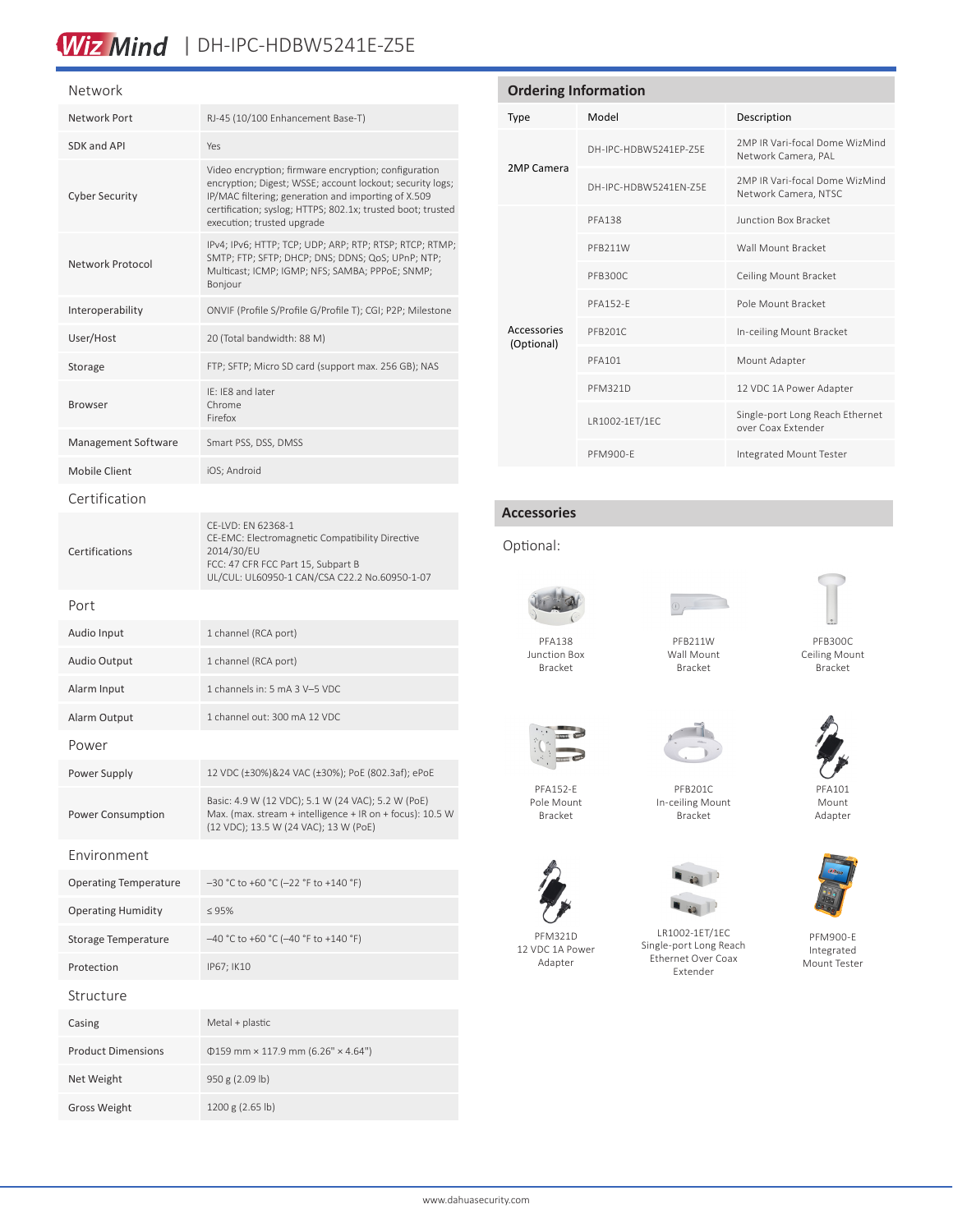# Wiz Mind | DH-IPC-HDBW5241E-Z5E

#### Network

| 1 Y C L V V C/I IN           |                                                                                                                                                                                                                                                                       |  |
|------------------------------|-----------------------------------------------------------------------------------------------------------------------------------------------------------------------------------------------------------------------------------------------------------------------|--|
| <b>Network Port</b>          | RJ-45 (10/100 Enhancement Base-T)                                                                                                                                                                                                                                     |  |
| SDK and API                  | Yes                                                                                                                                                                                                                                                                   |  |
| <b>Cyber Security</b>        | Video encryption; firmware encryption; configuration<br>encryption; Digest; WSSE; account lockout; security logs;<br>IP/MAC filtering; generation and importing of X.509<br>certification; syslog; HTTPS; 802.1x; trusted boot; trusted<br>execution; trusted upgrade |  |
| Network Protocol             | IPv4; IPv6; HTTP; TCP; UDP; ARP; RTP; RTSP; RTCP; RTMP;<br>SMTP; FTP; SFTP; DHCP; DNS; DDNS; QoS; UPnP; NTP;<br>Multicast; ICMP; IGMP; NFS; SAMBA; PPPoE; SNMP;<br>Boniour                                                                                            |  |
| Interoperability             | ONVIF (Profile S/Profile G/Profile T); CGI; P2P; Milestone                                                                                                                                                                                                            |  |
| User/Host                    | 20 (Total bandwidth: 88 M)                                                                                                                                                                                                                                            |  |
| Storage                      | FTP; SFTP; Micro SD card (support max. 256 GB); NAS                                                                                                                                                                                                                   |  |
| Browser                      | IE: IE8 and later<br>Chrome<br>Firefox                                                                                                                                                                                                                                |  |
| Management Software          | Smart PSS, DSS, DMSS                                                                                                                                                                                                                                                  |  |
| Mobile Client                | iOS; Android                                                                                                                                                                                                                                                          |  |
| Certification                |                                                                                                                                                                                                                                                                       |  |
| Certifications               | CE-LVD: EN 62368-1<br>CE-EMC: Electromagnetic Compatibility Directive<br>2014/30/EU<br>FCC: 47 CFR FCC Part 15, Subpart B<br>UL/CUL: UL60950-1 CAN/CSA C22.2 No.60950-1-07                                                                                            |  |
| Port                         |                                                                                                                                                                                                                                                                       |  |
| Audio Input                  | 1 channel (RCA port)                                                                                                                                                                                                                                                  |  |
| <b>Audio Output</b>          | 1 channel (RCA port)                                                                                                                                                                                                                                                  |  |
| Alarm Input                  | 1 channels in: 5 mA 3 V-5 VDC                                                                                                                                                                                                                                         |  |
| Alarm Output                 | 1 channel out: 300 mA 12 VDC                                                                                                                                                                                                                                          |  |
| Power                        |                                                                                                                                                                                                                                                                       |  |
| Power Supply                 | 12 VDC (±30%)&24 VAC (±30%); PoE (802.3af); ePoE                                                                                                                                                                                                                      |  |
| Power Consumption            | Basic: 4.9 W (12 VDC); 5.1 W (24 VAC); 5.2 W (PoE)<br>Max. (max. stream + intelligence + IR on + focus): 10.5 W<br>(12 VDC); 13.5 W (24 VAC); 13 W (PoE)                                                                                                              |  |
| Environment                  |                                                                                                                                                                                                                                                                       |  |
| <b>Operating Temperature</b> | $-30$ °C to +60 °C (-22 °F to +140 °F)                                                                                                                                                                                                                                |  |
| <b>Operating Humidity</b>    | $\leq 95\%$                                                                                                                                                                                                                                                           |  |
| Storage Temperature          | -40 °C to +60 °C (-40 °F to +140 °F)                                                                                                                                                                                                                                  |  |
| Protection                   | IP67; IK10                                                                                                                                                                                                                                                            |  |
| Structure                    |                                                                                                                                                                                                                                                                       |  |
| Casing                       | Metal + plastic                                                                                                                                                                                                                                                       |  |
| <b>Product Dimensions</b>    | $0159$ mm × 117.9 mm (6.26" × 4.64")                                                                                                                                                                                                                                  |  |
| Net Weight                   | 950 g (2.09 lb)                                                                                                                                                                                                                                                       |  |
| Gross Weight                 | 1200 g (2.65 lb)                                                                                                                                                                                                                                                      |  |

# **Ordering Information** Type Model Description 2MP Camera DH-IPC-HDBW5241EP-Z5E 2MP IR Vari-focal Dome WizMind Network Camera, PAL DH-IPC-HDBW5241EN-Z5E 2MP IR Vari-focal Dome WizMind Network Camera, NTSC Accessories (Optional) PFA138 Junction Box Bracket PFB211W Wall Mount Bracket PFB300C Ceiling Mount Bracket PFA152-E POle Mount Bracket PFB201C In-ceiling Mount Bracket PFA101 Mount Adapter PFM321D 12 VDC 1A Power Adapter LR1002-1ET/1EC Single-port Long Reach Ethernet over Coax Extender

#### **Accessories**

### Optional:



Junction Box Bracket



PFM900-E Integrated Mount Tester

PFB300C Ceiling Mount Bracket



PFB211W Wall Mount Bracket



PFB201C In-ceiling Mount Bracket





PFM900-E Integrated Mount Tester

PFA152-E Pole Mount Bracket



PFM321D 12 VDC 1A Power Adapter

 $\blacksquare$ LR1002-1ET/1EC

Single-port Long Reach Ethernet Over Coax Extender

PFA101 Mount Adapter